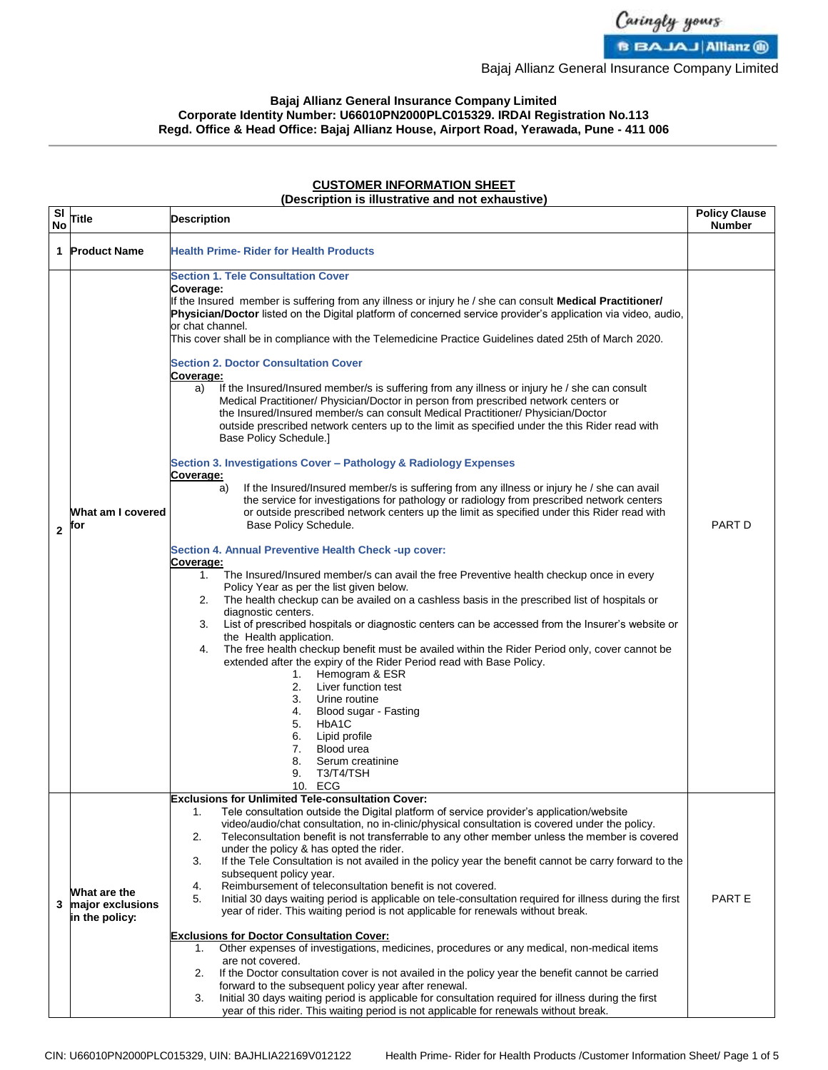

Bajaj Allianz General Insurance Company Limited

## **Bajaj Allianz General Insurance Company Limited Corporate Identity Number: U66010PN2000PLC015329. IRDAI Registration No.113 Regd. Office & Head Office: Bajaj Allianz House, Airport Road, Yerawada, Pune - 411 006**

## **CUSTOMER INFORMATION SHEET**

## **(Description is illustrative and not exhaustive)**

| SI<br><b>No</b> | Title                                              | <b>Description</b>                                                                                                                                                                                                                                                                                                                                                                                                                                                                                                                                                                                                                                                                                                                                                                                                                                                                                                                                                                                                                                                                                                                                                                                                                                                                                                                                                                                                                                                                                                                                                                                                                                                                                                                                                                                                                                                                                                                                                                                                                                                                                                                                                                                                    | <b>Policy Clause</b><br><b>Number</b> |
|-----------------|----------------------------------------------------|-----------------------------------------------------------------------------------------------------------------------------------------------------------------------------------------------------------------------------------------------------------------------------------------------------------------------------------------------------------------------------------------------------------------------------------------------------------------------------------------------------------------------------------------------------------------------------------------------------------------------------------------------------------------------------------------------------------------------------------------------------------------------------------------------------------------------------------------------------------------------------------------------------------------------------------------------------------------------------------------------------------------------------------------------------------------------------------------------------------------------------------------------------------------------------------------------------------------------------------------------------------------------------------------------------------------------------------------------------------------------------------------------------------------------------------------------------------------------------------------------------------------------------------------------------------------------------------------------------------------------------------------------------------------------------------------------------------------------------------------------------------------------------------------------------------------------------------------------------------------------------------------------------------------------------------------------------------------------------------------------------------------------------------------------------------------------------------------------------------------------------------------------------------------------------------------------------------------------|---------------------------------------|
|                 | 1 Product Name                                     | <b>Health Prime- Rider for Health Products</b>                                                                                                                                                                                                                                                                                                                                                                                                                                                                                                                                                                                                                                                                                                                                                                                                                                                                                                                                                                                                                                                                                                                                                                                                                                                                                                                                                                                                                                                                                                                                                                                                                                                                                                                                                                                                                                                                                                                                                                                                                                                                                                                                                                        |                                       |
| $\overline{2}$  | What am I covered<br>for                           | <b>Section 1. Tele Consultation Cover</b><br>Coverage:<br>If the Insured member is suffering from any illness or injury he / she can consult <b>Medical Practitioner/</b><br>Physician/Doctor listed on the Digital platform of concerned service provider's application via video, audio,<br>or chat channel.<br>This cover shall be in compliance with the Telemedicine Practice Guidelines dated 25th of March 2020.<br><b>Section 2. Doctor Consultation Cover</b><br>Coverage:<br>If the Insured/Insured member/s is suffering from any illness or injury he / she can consult<br>a)<br>Medical Practitioner/ Physician/Doctor in person from prescribed network centers or<br>the Insured/Insured member/s can consult Medical Practitioner/ Physician/Doctor<br>outside prescribed network centers up to the limit as specified under the this Rider read with<br>Base Policy Schedule.]<br>Section 3. Investigations Cover - Pathology & Radiology Expenses<br>Coverage:<br>If the Insured/Insured member/s is suffering from any illness or injury he / she can avail<br>a)<br>the service for investigations for pathology or radiology from prescribed network centers<br>or outside prescribed network centers up the limit as specified under this Rider read with<br>Base Policy Schedule.<br>Section 4. Annual Preventive Health Check -up cover:<br>Coverage:<br>The Insured/Insured member/s can avail the free Preventive health checkup once in every<br>1.<br>Policy Year as per the list given below.<br>The health checkup can be availed on a cashless basis in the prescribed list of hospitals or<br>2.<br>diagnostic centers.<br>List of prescribed hospitals or diagnostic centers can be accessed from the Insurer's website or<br>3.<br>the Health application.<br>The free health checkup benefit must be availed within the Rider Period only, cover cannot be<br>4.<br>extended after the expiry of the Rider Period read with Base Policy.<br>Hemogram & ESR<br>1.<br>Liver function test<br>2.<br>Urine routine<br>3.<br>Blood sugar - Fasting<br>4.<br>HbA <sub>1</sub> C<br>5.<br>Lipid profile<br>6.<br>Blood urea<br>7.<br>8.<br>Serum creatinine<br>9.<br>T3/T4/TSH<br>10. ECG | <b>PART D</b>                         |
| 3               | What are the<br>major exclusions<br>in the policy: | <b>Exclusions for Unlimited Tele-consultation Cover:</b><br>1. Tele consultation outside the Digital platform of service provider's application/website<br>video/audio/chat consultation, no in-clinic/physical consultation is covered under the policy.<br>Teleconsultation benefit is not transferrable to any other member unless the member is covered<br>2.<br>under the policy & has opted the rider.<br>If the Tele Consultation is not availed in the policy year the benefit cannot be carry forward to the<br>3.<br>subsequent policy year.<br>Reimbursement of teleconsultation benefit is not covered.<br>4.<br>Initial 30 days waiting period is applicable on tele-consultation required for illness during the first<br>5.<br>year of rider. This waiting period is not applicable for renewals without break.<br><b>Exclusions for Doctor Consultation Cover:</b><br>Other expenses of investigations, medicines, procedures or any medical, non-medical items<br>1.<br>are not covered.<br>If the Doctor consultation cover is not availed in the policy year the benefit cannot be carried<br>2.<br>forward to the subsequent policy year after renewal.<br>Initial 30 days waiting period is applicable for consultation required for illness during the first<br>3.<br>year of this rider. This waiting period is not applicable for renewals without break.                                                                                                                                                                                                                                                                                                                                                                                                                                                                                                                                                                                                                                                                                                                                                                                                                                     | PART E                                |